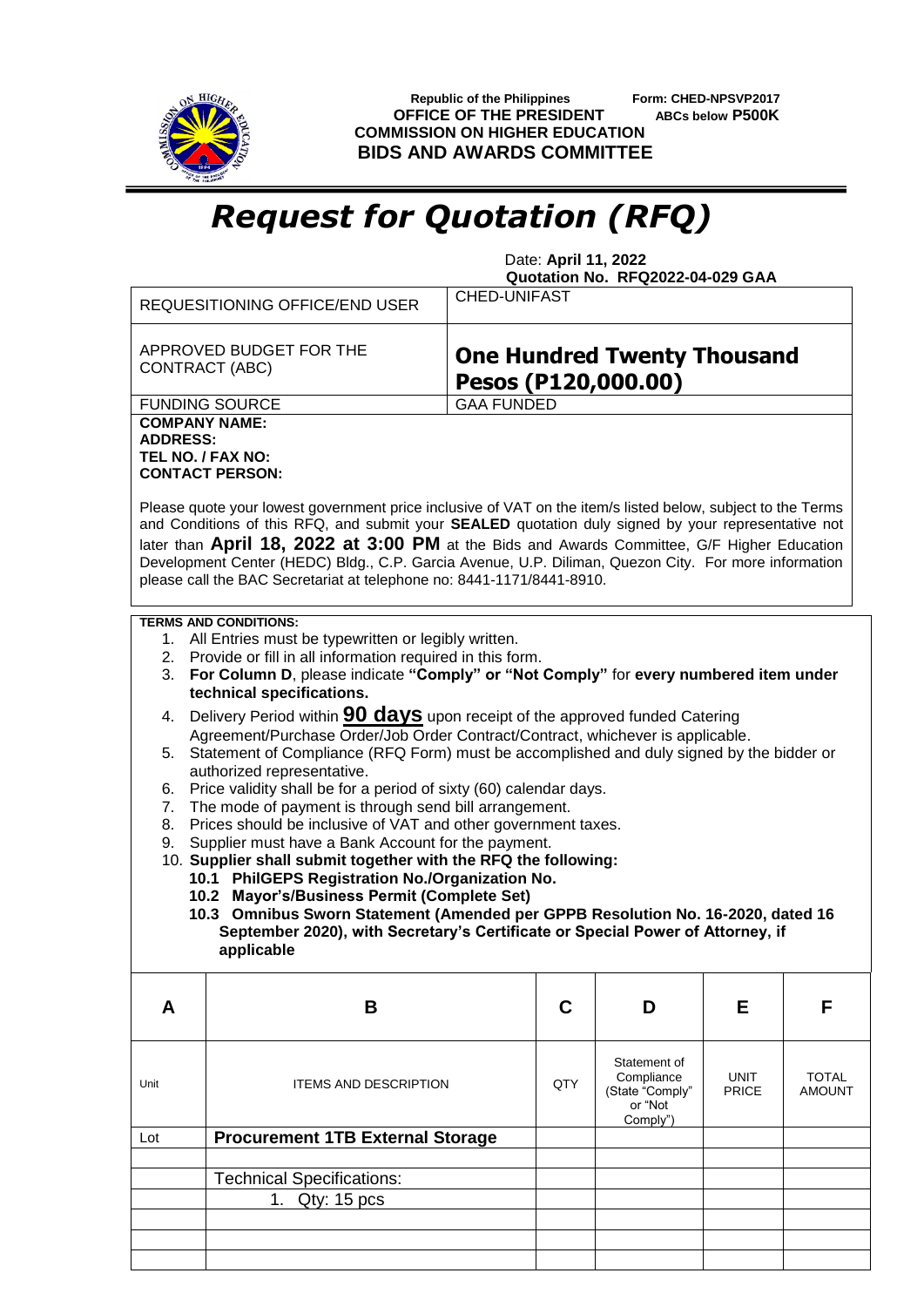

 **Republic of the Philippines Form: CHED-NPSVP2017 OFFICE OF THE PRESIDENT ABCs below P500K COMMISSION ON HIGHER EDUCATION BIDS AND AWARDS COMMITTEE**

## *Request for Quotation (RFQ)*

 Date: **April 11, 2022 Quotation No. RFQ2022-04-029 GAA**

|                                                                                                                         | REQUESITIONING OFFICE/END USER                                                                                                                                                                                                                                                                                                                                                                                                                                                                                                                                                                                                                                                                                                                                                                                                                                                                             | <b>CHED-UNIFAST</b>                                       |                                                                      |                      |                               |  |  |  |  |
|-------------------------------------------------------------------------------------------------------------------------|------------------------------------------------------------------------------------------------------------------------------------------------------------------------------------------------------------------------------------------------------------------------------------------------------------------------------------------------------------------------------------------------------------------------------------------------------------------------------------------------------------------------------------------------------------------------------------------------------------------------------------------------------------------------------------------------------------------------------------------------------------------------------------------------------------------------------------------------------------------------------------------------------------|-----------------------------------------------------------|----------------------------------------------------------------------|----------------------|-------------------------------|--|--|--|--|
|                                                                                                                         | APPROVED BUDGET FOR THE<br>CONTRACT (ABC)                                                                                                                                                                                                                                                                                                                                                                                                                                                                                                                                                                                                                                                                                                                                                                                                                                                                  | <b>One Hundred Twenty Thousand</b><br>Pesos (P120,000.00) |                                                                      |                      |                               |  |  |  |  |
|                                                                                                                         | <b>FUNDING SOURCE</b>                                                                                                                                                                                                                                                                                                                                                                                                                                                                                                                                                                                                                                                                                                                                                                                                                                                                                      | <b>GAA FUNDED</b>                                         |                                                                      |                      |                               |  |  |  |  |
| <b>ADDRESS:</b>                                                                                                         | <b>COMPANY NAME:</b><br>TEL NO. / FAX NO:<br><b>CONTACT PERSON:</b><br>Please quote your lowest government price inclusive of VAT on the item/s listed below, subject to the Terms<br>and Conditions of this RFQ, and submit your SEALED quotation duly signed by your representative not<br>later than April 18, 2022 at 3:00 PM at the Bids and Awards Committee, G/F Higher Education<br>Development Center (HEDC) Bldg., C.P. Garcia Avenue, U.P. Diliman, Quezon City. For more information<br>please call the BAC Secretariat at telephone no: 8441-1171/8441-8910.<br><b>TERMS AND CONDITIONS:</b><br>1. All Entries must be typewritten or legibly written.<br>2. Provide or fill in all information required in this form.                                                                                                                                                                        |                                                           |                                                                      |                      |                               |  |  |  |  |
| For Column D, please indicate "Comply" or "Not Comply" for every numbered item under<br>3.<br>technical specifications. |                                                                                                                                                                                                                                                                                                                                                                                                                                                                                                                                                                                                                                                                                                                                                                                                                                                                                                            |                                                           |                                                                      |                      |                               |  |  |  |  |
| 4.<br>5.<br>6.<br>7.<br>8.<br>9.                                                                                        | Delivery Period within <b>90 days</b> upon receipt of the approved funded Catering<br>Agreement/Purchase Order/Job Order Contract/Contract, whichever is applicable.<br>Statement of Compliance (RFQ Form) must be accomplished and duly signed by the bidder or<br>authorized representative.<br>Price validity shall be for a period of sixty (60) calendar days.<br>The mode of payment is through send bill arrangement.<br>Prices should be inclusive of VAT and other government taxes.<br>Supplier must have a Bank Account for the payment.<br>10. Supplier shall submit together with the RFQ the following:<br>10.1 PhilGEPS Registration No./Organization No.<br>10.2 Mayor's/Business Permit (Complete Set)<br>10.3 Omnibus Sworn Statement (Amended per GPPB Resolution No. 16-2020, dated 16<br>September 2020), with Secretary's Certificate or Special Power of Attorney, if<br>applicable |                                                           |                                                                      |                      |                               |  |  |  |  |
| A                                                                                                                       | B                                                                                                                                                                                                                                                                                                                                                                                                                                                                                                                                                                                                                                                                                                                                                                                                                                                                                                          | C                                                         | D                                                                    | Е                    | F                             |  |  |  |  |
| Unit                                                                                                                    | <b>ITEMS AND DESCRIPTION</b>                                                                                                                                                                                                                                                                                                                                                                                                                                                                                                                                                                                                                                                                                                                                                                                                                                                                               | QTY                                                       | Statement of<br>Compliance<br>(State "Comply"<br>or "Not<br>Comply") | UNIT<br><b>PRICE</b> | <b>TOTAL</b><br><b>AMOUNT</b> |  |  |  |  |
| Lot                                                                                                                     | <b>Procurement 1TB External Storage</b>                                                                                                                                                                                                                                                                                                                                                                                                                                                                                                                                                                                                                                                                                                                                                                                                                                                                    |                                                           |                                                                      |                      |                               |  |  |  |  |
|                                                                                                                         |                                                                                                                                                                                                                                                                                                                                                                                                                                                                                                                                                                                                                                                                                                                                                                                                                                                                                                            |                                                           |                                                                      |                      |                               |  |  |  |  |
|                                                                                                                         | <b>Technical Specifications:</b>                                                                                                                                                                                                                                                                                                                                                                                                                                                                                                                                                                                                                                                                                                                                                                                                                                                                           |                                                           |                                                                      |                      |                               |  |  |  |  |
|                                                                                                                         | 1. Qty: 15 pcs                                                                                                                                                                                                                                                                                                                                                                                                                                                                                                                                                                                                                                                                                                                                                                                                                                                                                             |                                                           |                                                                      |                      |                               |  |  |  |  |
|                                                                                                                         |                                                                                                                                                                                                                                                                                                                                                                                                                                                                                                                                                                                                                                                                                                                                                                                                                                                                                                            |                                                           |                                                                      |                      |                               |  |  |  |  |
|                                                                                                                         |                                                                                                                                                                                                                                                                                                                                                                                                                                                                                                                                                                                                                                                                                                                                                                                                                                                                                                            |                                                           |                                                                      |                      |                               |  |  |  |  |
|                                                                                                                         |                                                                                                                                                                                                                                                                                                                                                                                                                                                                                                                                                                                                                                                                                                                                                                                                                                                                                                            |                                                           |                                                                      |                      |                               |  |  |  |  |